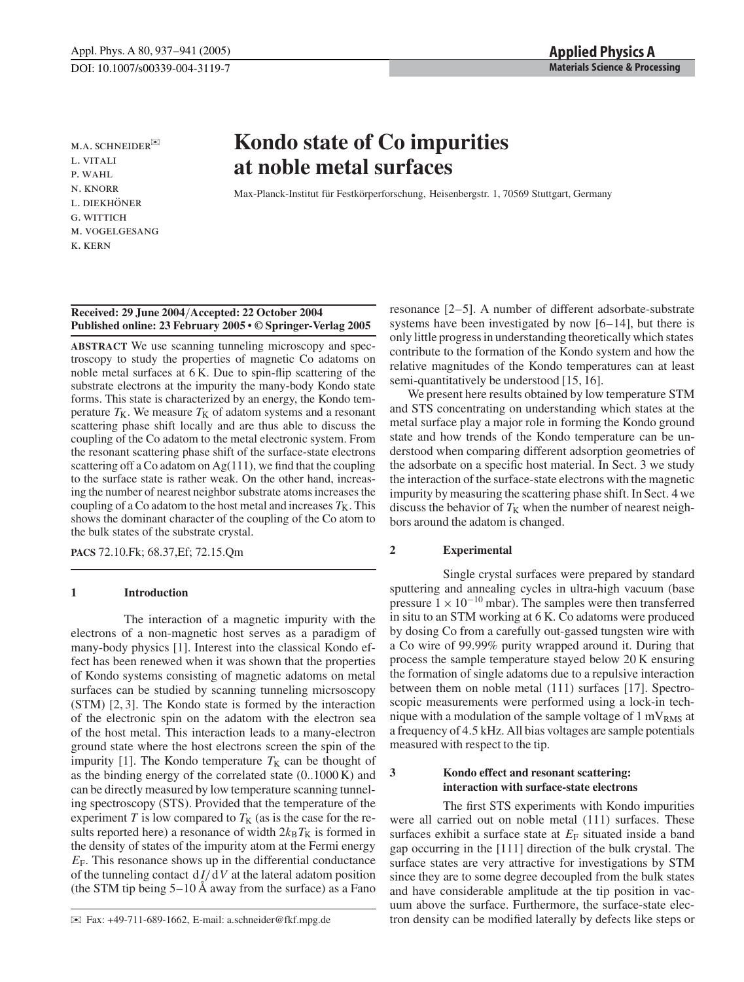M.A. SCHNEIDER<sup>E</sup> l. vitali p. wahl n. knorr L. DIEKHÖNER g. wittich m. vogelgesang k. kern

# **Kondo state of Co impurities at noble metal surfaces**

Max-Planck-Institut für Festkörperforschung, Heisenbergstr. 1, 70569 Stuttgart, Germany

### **Received: 29 June 2004**/**Accepted: 22 October 2004 Published online: 23 February 2005 • © Springer-Verlag 2005**

**ABSTRACT** We use scanning tunneling microscopy and spectroscopy to study the properties of magnetic Co adatoms on noble metal surfaces at 6 K. Due to spin-flip scattering of the substrate electrons at the impurity the many-body Kondo state forms. This state is characterized by an energy, the Kondo temperature  $T_K$ . We measure  $T_K$  of adatom systems and a resonant scattering phase shift locally and are thus able to discuss the coupling of the Co adatom to the metal electronic system. From the resonant scattering phase shift of the surface-state electrons scattering off a Co adatom on  $Ag(111)$ , we find that the coupling to the surface state is rather weak. On the other hand, increasing the number of nearest neighbor substrate atoms increases the coupling of a Co adatom to the host metal and increases  $T<sub>K</sub>$ . This shows the dominant character of the coupling of the Co atom to the bulk states of the substrate crystal.

**PACS** 72.10.Fk; 68.37,Ef; 72.15.Qm

# **1 Introduction**

The interaction of a magnetic impurity with the electrons of a non-magnetic host serves as a paradigm of many-body physics [1]. Interest into the classical Kondo effect has been renewed when it was shown that the properties of Kondo systems consisting of magnetic adatoms on metal surfaces can be studied by scanning tunneling micrsoscopy (STM) [2, 3]. The Kondo state is formed by the interaction of the electronic spin on the adatom with the electron sea of the host metal. This interaction leads to a many-electron ground state where the host electrons screen the spin of the impurity [1]. The Kondo temperature  $T_K$  can be thought of as the binding energy of the correlated state (0..1000 K) and can be directly measured by low temperature scanning tunneling spectroscopy (STS). Provided that the temperature of the experiment  $T$  is low compared to  $T<sub>K</sub>$  (as is the case for the results reported here) a resonance of width  $2k_B T_K$  is formed in the density of states of the impurity atom at the Fermi energy  $E_F$ . This resonance shows up in the differential conductance of the tunneling contact  $dI/dV$  at the lateral adatom position (the STM tip being 5–10 Å away from the surface) as a Fano resonance [2–5]. A number of different adsorbate-substrate systems have been investigated by now [6–14], but there is only little progress in understanding theoretically which states contribute to the formation of the Kondo system and how the relative magnitudes of the Kondo temperatures can at least semi-quantitatively be understood [15, 16].

We present here results obtained by low temperature STM and STS concentrating on understanding which states at the metal surface play a major role in forming the Kondo ground state and how trends of the Kondo temperature can be understood when comparing different adsorption geometries of the adsorbate on a specific host material. In Sect. 3 we study the interaction of the surface-state electrons with the magnetic impurity by measuring the scattering phase shift. In Sect. 4 we discuss the behavior of  $T<sub>K</sub>$  when the number of nearest neighbors around the adatom is changed.

# **2 Experimental**

Single crystal surfaces were prepared by standard sputtering and annealing cycles in ultra-high vacuum (base pressure  $1 \times 10^{-10}$  mbar). The samples were then transferred in situ to an STM working at 6 K. Co adatoms were produced by dosing Co from a carefully out-gassed tungsten wire with a Co wire of 99.99% purity wrapped around it. During that process the sample temperature stayed below 20 K ensuring the formation of single adatoms due to a repulsive interaction between them on noble metal (111) surfaces [17]. Spectroscopic measurements were performed using a lock-in technique with a modulation of the sample voltage of  $1 \text{ mV}_{RMS}$  at a frequency of 4.5 kHz. All bias voltages are sample potentials measured with respect to the tip.

# **3 Kondo effect and resonant scattering: interaction with surface-state electrons**

The first STS experiments with Kondo impurities were all carried out on noble metal (111) surfaces. These surfaces exhibit a surface state at  $E_F$  situated inside a band gap occurring in the [111] direction of the bulk crystal. The surface states are very attractive for investigations by STM since they are to some degree decoupled from the bulk states and have considerable amplitude at the tip position in vacuum above the surface. Furthermore, the surface-state electron density can be modified laterally by defects like steps or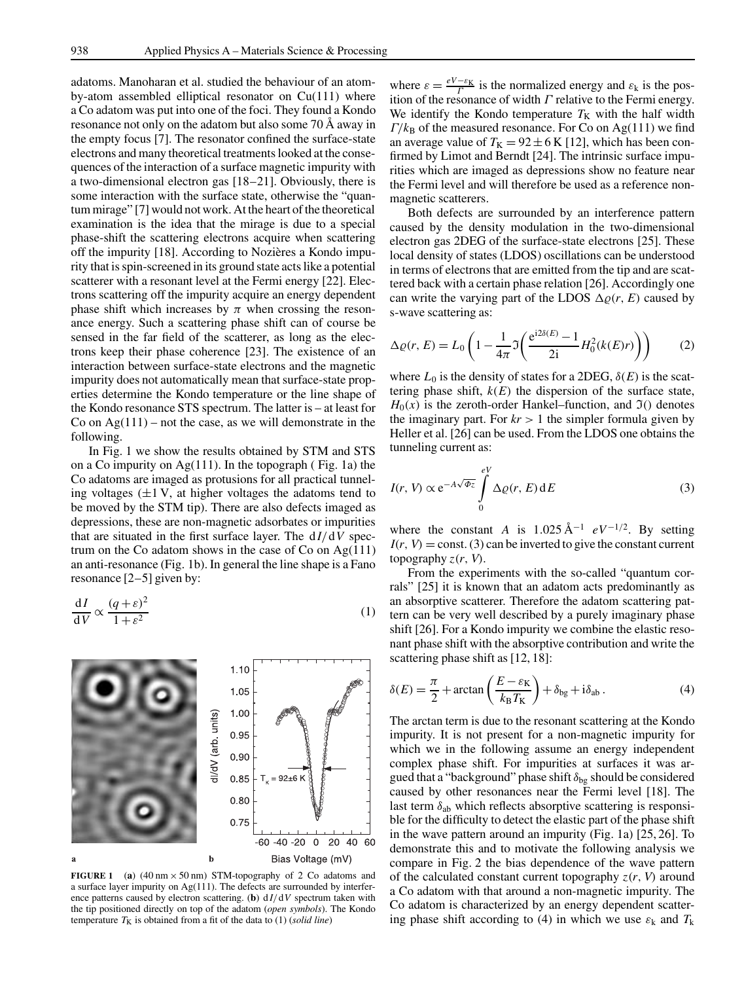adatoms. Manoharan et al. studied the behaviour of an atomby-atom assembled elliptical resonator on Cu(111) where a Co adatom was put into one of the foci. They found a Kondo resonance not only on the adatom but also some 70 Å away in the empty focus [7]. The resonator confined the surface-state electrons and many theoretical treatments looked at the consequences of the interaction of a surface magnetic impurity with a two-dimensional electron gas [18–21]. Obviously, there is some interaction with the surface state, otherwise the "quantum mirage" [7] would not work. At the heart of the theoretical examination is the idea that the mirage is due to a special phase-shift the scattering electrons acquire when scattering off the impurity [18]. According to Nozières a Kondo impurity that is spin-screened in its ground state acts like a potential scatterer with a resonant level at the Fermi energy [22]. Electrons scattering off the impurity acquire an energy dependent phase shift which increases by  $\pi$  when crossing the resonance energy. Such a scattering phase shift can of course be sensed in the far field of the scatterer, as long as the electrons keep their phase coherence [23]. The existence of an interaction between surface-state electrons and the magnetic impurity does not automatically mean that surface-state properties determine the Kondo temperature or the line shape of the Kondo resonance STS spectrum. The latter is – at least for Co on  $Ag(111)$  – not the case, as we will demonstrate in the following.

In Fig. 1 we show the results obtained by STM and STS on a Co impurity on  $Ag(111)$ . In the topograph (Fig. 1a) the Co adatoms are imaged as protusions for all practical tunneling voltages  $(\pm 1 \text{ V}, \text{ at higher voltages the adatoms tend to})$ be moved by the STM tip). There are also defects imaged as depressions, these are non-magnetic adsorbates or impurities that are situated in the first surface layer. The  $dI/dV$  spectrum on the Co adatom shows in the case of Co on Ag(111) an anti-resonance (Fig. 1b). In general the line shape is a Fano resonance [2–5] given by:

$$
\frac{\mathrm{d}I}{\mathrm{d}V} \propto \frac{(q+\varepsilon)^2}{1+\varepsilon^2} \tag{1}
$$



**FIGURE 1** (a)  $(40 \text{ nm} \times 50 \text{ nm})$  STM-topography of 2 Co adatoms and a surface layer impurity on Ag(111). The defects are surrounded by interference patterns caused by electron scattering. (**b**)  $dI/dV$  spectrum taken with the tip positioned directly on top of the adatom (*open symbols*). The Kondo temperature  $T_K$  is obtained from a fit of the data to (1) (*solid line*)

where  $\varepsilon = \frac{eV - \varepsilon_K}{\Gamma}$  is the normalized energy and  $\varepsilon_k$  is the position of the resonance of width  $\Gamma$  relative to the Fermi energy. We identify the Kondo temperature  $T_K$  with the half width  $\Gamma/k_B$  of the measured resonance. For Co on Ag(111) we find an average value of  $T_K = 92 \pm 6$  K [12], which has been confirmed by Limot and Berndt [24]. The intrinsic surface impurities which are imaged as depressions show no feature near the Fermi level and will therefore be used as a reference nonmagnetic scatterers.

Both defects are surrounded by an interference pattern caused by the density modulation in the two-dimensional electron gas 2DEG of the surface-state electrons [25]. These local density of states (LDOS) oscillations can be understood in terms of electrons that are emitted from the tip and are scattered back with a certain phase relation [26]. Accordingly one can write the varying part of the LDOS  $\Delta \varrho(r, E)$  caused by s-wave scattering as:

$$
\Delta \varrho(r, E) = L_0 \left( 1 - \frac{1}{4\pi} \Im \left( \frac{e^{i2\delta(E)} - 1}{2i} H_0^2(k(E)r) \right) \right) \tag{2}
$$

where  $L_0$  is the density of states for a 2DEG,  $\delta(E)$  is the scattering phase shift,  $k(E)$  the dispersion of the surface state,  $H<sub>0</sub>(x)$  is the zeroth-order Hankel–function, and  $\mathfrak{I}$ () denotes the imaginary part. For  $kr > 1$  the simpler formula given by Heller et al. [26] can be used. From the LDOS one obtains the tunneling current as:

$$
I(r, V) \propto e^{-A\sqrt{\Phi_z}} \int\limits_0^{eV} \Delta \varrho(r, E) dE
$$
 (3)

where the constant *A* is  $1.025 \text{ Å}^{-1}$  *eV*<sup>-1/2</sup>. By setting  $I(r, V) = \text{const.}$  (3) can be inverted to give the constant current topography  $z(r, V)$ .

From the experiments with the so-called "quantum corrals" [25] it is known that an adatom acts predominantly as an absorptive scatterer. Therefore the adatom scattering pattern can be very well described by a purely imaginary phase shift [26]. For a Kondo impurity we combine the elastic resonant phase shift with the absorptive contribution and write the scattering phase shift as [12, 18]:

$$
\delta(E) = \frac{\pi}{2} + \arctan\left(\frac{E - \varepsilon_{\rm K}}{k_{\rm B}T_{\rm K}}\right) + \delta_{\rm bg} + \mathrm{i}\delta_{\rm ab} \,. \tag{4}
$$

The arctan term is due to the resonant scattering at the Kondo impurity. It is not present for a non-magnetic impurity for which we in the following assume an energy independent complex phase shift. For impurities at surfaces it was argued that a "background" phase shift  $\delta_{bg}$  should be considered caused by other resonances near the Fermi level [18]. The last term  $\delta_{ab}$  which reflects absorptive scattering is responsible for the difficulty to detect the elastic part of the phase shift in the wave pattern around an impurity (Fig. 1a) [25, 26]. To demonstrate this and to motivate the following analysis we compare in Fig. 2 the bias dependence of the wave pattern of the calculated constant current topography  $z(r, V)$  around a Co adatom with that around a non-magnetic impurity. The Co adatom is characterized by an energy dependent scattering phase shift according to (4) in which we use  $\varepsilon_k$  and  $T_k$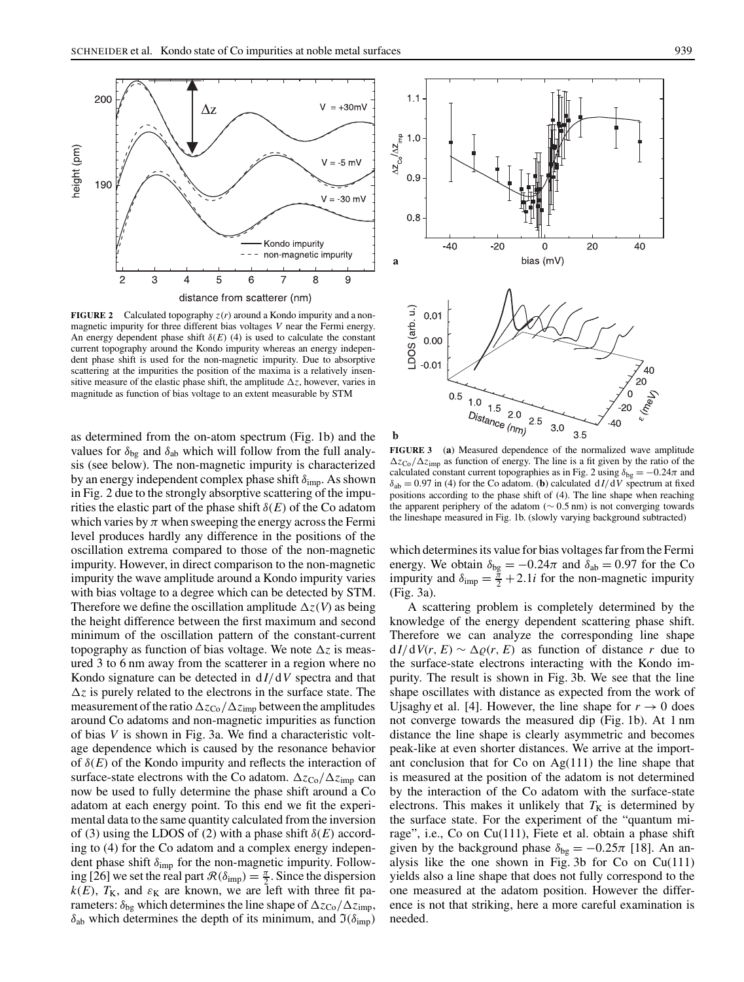

**FIGURE 2** Calculated topography  $z(r)$  around a Kondo impurity and a nonmagnetic impurity for three different bias voltages *V* near the Fermi energy. An energy dependent phase shift  $\delta(E)$  (4) is used to calculate the constant current topography around the Kondo impurity whereas an energy independent phase shift is used for the non-magnetic impurity. Due to absorptive scattering at the impurities the position of the maxima is a relatively insensitive measure of the elastic phase shift, the amplitude ∆*z*, however, varies in magnitude as function of bias voltage to an extent measurable by STM

as determined from the on-atom spectrum (Fig. 1b) and the values for  $\delta_{bg}$  and  $\delta_{ab}$  which will follow from the full analysis (see below). The non-magnetic impurity is characterized by an energy independent complex phase shift  $\delta_{\text{imp}}$ . As shown in Fig. 2 due to the strongly absorptive scattering of the impurities the elastic part of the phase shift  $\delta(E)$  of the Co adatom which varies by  $\pi$  when sweeping the energy across the Fermi level produces hardly any difference in the positions of the oscillation extrema compared to those of the non-magnetic impurity. However, in direct comparison to the non-magnetic impurity the wave amplitude around a Kondo impurity varies with bias voltage to a degree which can be detected by STM. Therefore we define the oscillation amplitude ∆*z*(*V*) as being the height difference between the first maximum and second minimum of the oscillation pattern of the constant-current topography as function of bias voltage. We note ∆*z* is measured 3 to 6 nm away from the scatterer in a region where no Kondo signature can be detected in d *I*/d*V* spectra and that ∆*z* is purely related to the electrons in the surface state. The measurement of the ratio  $\Delta z_{\text{Co}}/\Delta z_{\text{imp}}$  between the amplitudes around Co adatoms and non-magnetic impurities as function of bias *V* is shown in Fig. 3a. We find a characteristic voltage dependence which is caused by the resonance behavior of  $\delta(E)$  of the Kondo impurity and reflects the interaction of surface-state electrons with the Co adatom. Δ*z*<sub>Co</sub>/Δ*z*<sub>imp</sub> can now be used to fully determine the phase shift around a Co adatom at each energy point. To this end we fit the experimental data to the same quantity calculated from the inversion of (3) using the LDOS of (2) with a phase shift  $\delta(E)$  according to (4) for the Co adatom and a complex energy independent phase shift  $\delta_{\text{imp}}$  for the non-magnetic impurity. Following [26] we set the real part  $\mathcal{R}(\delta_{\text{imp}}) = \frac{\pi}{2}$ . Since the dispersion  $k(E)$ ,  $T_K$ , and  $\varepsilon_K$  are known, we are left with three fit parameters:  $\delta_{\text{bg}}$  which determines the line shape of  $\Delta z_{\text{Co}}/\Delta z_{\text{imp}}$ ,  $\delta_{ab}$  which determines the depth of its minimum, and  $\mathfrak{I}(\delta_{\text{imp}})$ 





**FIGURE 3** (**a**) Measured dependence of the normalized wave amplitude ∆*z*Co/∆*z*imp as function of energy. The line is a fit given by the ratio of the calculated constant current topographies as in Fig. 2 using  $\delta_{bg} = -0.24\pi$  and  $\delta_{ab} = 0.97$  in (4) for the Co adatom. (**b**) calculated  $dI/dV$  spectrum at fixed positions according to the phase shift of (4). The line shape when reaching the apparent periphery of the adatom (∼ 0.5 nm) is not converging towards the lineshape measured in Fig. 1b. (slowly varying background subtracted)

which determines its value for bias voltages far from the Fermi energy. We obtain  $\delta_{bg} = -0.24\pi$  and  $\delta_{ab} = 0.97$  for the Co impurity and  $\delta_{\text{imp}} = \frac{\pi}{2} + 2.1i$  for the non-magnetic impurity (Fig. 3a).

A scattering problem is completely determined by the knowledge of the energy dependent scattering phase shift. Therefore we can analyze the corresponding line shape  $dI/dV(r, E) \sim \Delta \rho(r, E)$  as function of distance *r* due to the surface-state electrons interacting with the Kondo impurity. The result is shown in Fig. 3b. We see that the line shape oscillates with distance as expected from the work of Ujsaghy et al. [4]. However, the line shape for  $r \to 0$  does not converge towards the measured dip (Fig. 1b). At 1 nm distance the line shape is clearly asymmetric and becomes peak-like at even shorter distances. We arrive at the important conclusion that for Co on Ag(111) the line shape that is measured at the position of the adatom is not determined by the interaction of the Co adatom with the surface-state electrons. This makes it unlikely that  $T_K$  is determined by the surface state. For the experiment of the "quantum mirage", i.e., Co on Cu(111), Fiete et al. obtain a phase shift given by the background phase  $\delta_{bg} = -0.25\pi$  [18]. An analysis like the one shown in Fig. 3b for Co on  $Cu(111)$ yields also a line shape that does not fully correspond to the one measured at the adatom position. However the difference is not that striking, here a more careful examination is needed.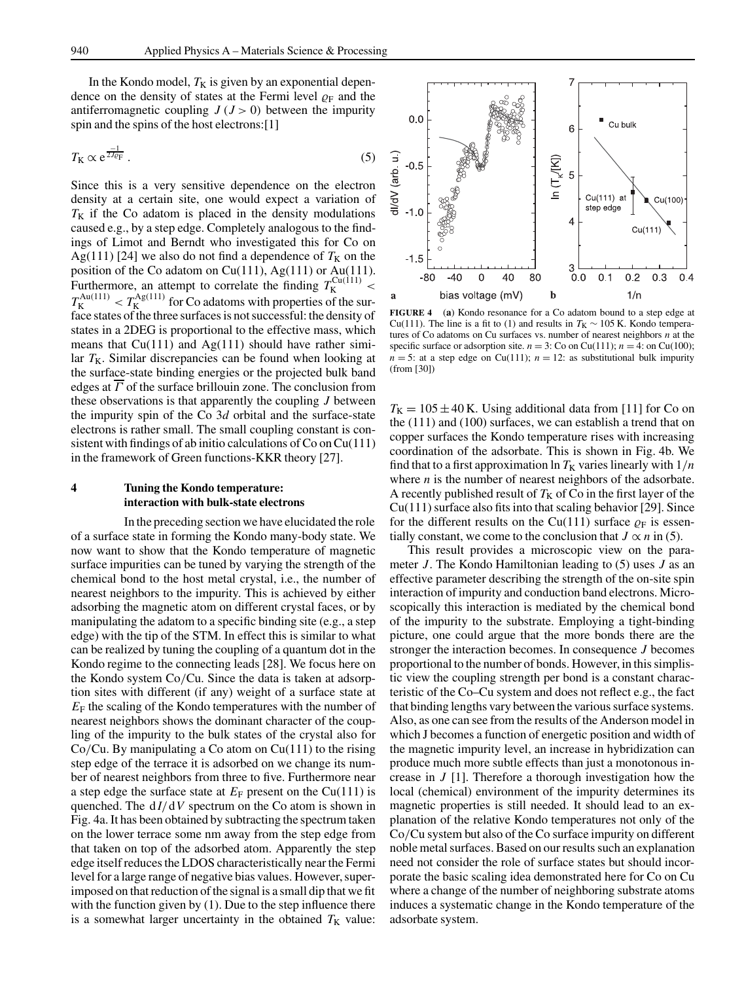In the Kondo model,  $T_K$  is given by an exponential dependence on the density of states at the Fermi level  $\rho_F$  and the antiferromagnetic coupling  $J(J>0)$  between the impurity spin and the spins of the host electrons:[1]

$$
T_{\rm K} \propto \mathrm{e}^{\frac{-1}{2J_{\rm CP}}} \,. \tag{5}
$$

Since this is a very sensitive dependence on the electron density at a certain site, one would expect a variation of  $T_K$  if the Co adatom is placed in the density modulations caused e.g., by a step edge. Completely analogous to the findings of Limot and Berndt who investigated this for Co on Ag(111) [24] we also do not find a dependence of  $T_K$  on the position of the Co adatom on Cu(111), Ag(111) or Au(111). Furthermore, an attempt to correlate the finding  $T_K^{\text{Cu}(111)}$  <  $T_{\rm K}^{\rm Au(111)} < T_{\rm K}^{\rm Ag(111)}$  for Co adatoms with properties of the surface states of the three surfaces is not successful: the density of states in a 2DEG is proportional to the effective mass, which means that  $Cu(111)$  and  $Ag(111)$  should have rather similar  $T_K$ . Similar discrepancies can be found when looking at the surface-state binding energies or the projected bulk band edges at  $\overline{\Gamma}$  of the surface brillouin zone. The conclusion from these observations is that apparently the coupling *J* between the impurity spin of the Co 3*d* orbital and the surface-state electrons is rather small. The small coupling constant is consistent with findings of ab initio calculations of  $Co$  on  $Cu(111)$ in the framework of Green functions-KKR theory [27].

#### **4 Tuning the Kondo temperature: interaction with bulk-state electrons**

In the preceding section we have elucidated the role of a surface state in forming the Kondo many-body state. We now want to show that the Kondo temperature of magnetic surface impurities can be tuned by varying the strength of the chemical bond to the host metal crystal, i.e., the number of nearest neighbors to the impurity. This is achieved by either adsorbing the magnetic atom on different crystal faces, or by manipulating the adatom to a specific binding site (e.g., a step edge) with the tip of the STM. In effect this is similar to what can be realized by tuning the coupling of a quantum dot in the Kondo regime to the connecting leads [28]. We focus here on the Kondo system Co/Cu. Since the data is taken at adsorption sites with different (if any) weight of a surface state at  $E_F$  the scaling of the Kondo temperatures with the number of nearest neighbors shows the dominant character of the coupling of the impurity to the bulk states of the crystal also for  $Co/Cu$ . By manipulating a Co atom on  $Cu(111)$  to the rising step edge of the terrace it is adsorbed on we change its number of nearest neighbors from three to five. Furthermore near a step edge the surface state at  $E_F$  present on the Cu(111) is quenched. The  $dI/dV$  spectrum on the Co atom is shown in Fig. 4a. It has been obtained by subtracting the spectrum taken on the lower terrace some nm away from the step edge from that taken on top of the adsorbed atom. Apparently the step edge itself reduces the LDOS characteristically near the Fermi level for a large range of negative bias values. However, superimposed on that reduction of the signal is a small dip that we fit with the function given by (1). Due to the step influence there is a somewhat larger uncertainty in the obtained  $T_K$  value:



**FIGURE 4** (**a**) Kondo resonance for a Co adatom bound to a step edge at Cu(111). The line is a fit to (1) and results in  $T_K \sim 105$  K. Kondo temperatures of Co adatoms on Cu surfaces vs. number of nearest neighbors *n* at the specific surface or adsorption site.  $n = 3$ : Co on Cu(111);  $n = 4$ : on Cu(100);  $n = 5$ : at a step edge on Cu(111);  $n = 12$ : as substitutional bulk impurity (from [30])

 $T_{\rm K} = 105 \pm 40$  K. Using additional data from [11] for Co on the (111) and (100) surfaces, we can establish a trend that on copper surfaces the Kondo temperature rises with increasing coordination of the adsorbate. This is shown in Fig. 4b. We find that to a first approximation  $\ln T_K$  varies linearly with  $1/n$ where *n* is the number of nearest neighbors of the adsorbate. A recently published result of  $T_K$  of Co in the first layer of the Cu(111) surface also fits into that scaling behavior [29]. Since for the different results on the Cu(111) surface  $\rho_F$  is essentially constant, we come to the conclusion that  $J \propto n$  in (5).

This result provides a microscopic view on the parameter *J*. The Kondo Hamiltonian leading to (5) uses *J* as an effective parameter describing the strength of the on-site spin interaction of impurity and conduction band electrons. Microscopically this interaction is mediated by the chemical bond of the impurity to the substrate. Employing a tight-binding picture, one could argue that the more bonds there are the stronger the interaction becomes. In consequence *J* becomes proportional to the number of bonds. However, in this simplistic view the coupling strength per bond is a constant characteristic of the Co–Cu system and does not reflect e.g., the fact that binding lengths vary between the various surface systems. Also, as one can see from the results of the Anderson model in which J becomes a function of energetic position and width of the magnetic impurity level, an increase in hybridization can produce much more subtle effects than just a monotonous increase in *J* [1]. Therefore a thorough investigation how the local (chemical) environment of the impurity determines its magnetic properties is still needed. It should lead to an explanation of the relative Kondo temperatures not only of the Co/Cu system but also of the Co surface impurity on different noble metal surfaces. Based on our results such an explanation need not consider the role of surface states but should incorporate the basic scaling idea demonstrated here for Co on Cu where a change of the number of neighboring substrate atoms induces a systematic change in the Kondo temperature of the adsorbate system.